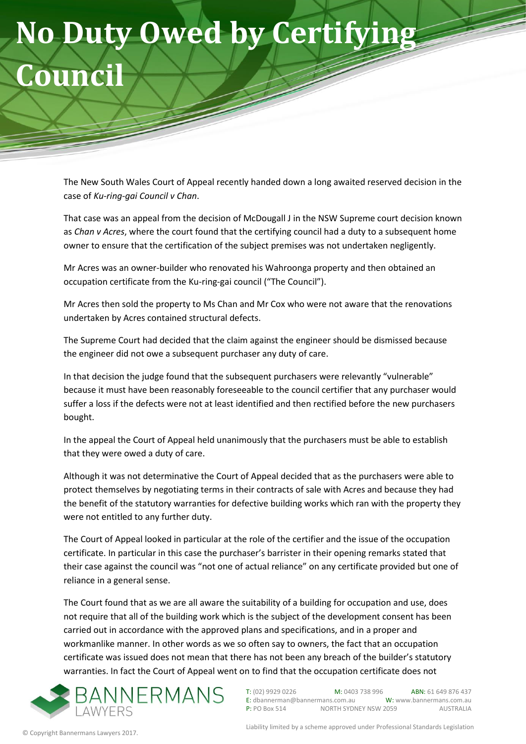## **No Duty Owed by Certifying Council**

The New South Wales Court of Appeal recently handed down a long awaited reserved decision in the case of *Ku-ring-gai Council v Chan*.

That case was an appeal from the decision of McDougall J in the NSW Supreme court decision known as *Chan v Acres*, where the court found that the certifying council had a duty to a subsequent home owner to ensure that the certification of the subject premises was not undertaken negligently.

Mr Acres was an owner-builder who renovated his Wahroonga property and then obtained an occupation certificate from the Ku-ring-gai council ("The Council").

Mr Acres then sold the property to Ms Chan and Mr Cox who were not aware that the renovations undertaken by Acres contained structural defects.

The Supreme Court had decided that the claim against the engineer should be dismissed because the engineer did not owe a subsequent purchaser any duty of care.

In that decision the judge found that the subsequent purchasers were relevantly "vulnerable" because it must have been reasonably foreseeable to the council certifier that any purchaser would suffer a loss if the defects were not at least identified and then rectified before the new purchasers bought.

In the appeal the Court of Appeal held unanimously that the purchasers must be able to establish that they were owed a duty of care.

Although it was not determinative the Court of Appeal decided that as the purchasers were able to protect themselves by negotiating terms in their contracts of sale with Acres and because they had the benefit of the statutory warranties for defective building works which ran with the property they were not entitled to any further duty.

The Court of Appeal looked in particular at the role of the certifier and the issue of the occupation certificate. In particular in this case the purchaser's barrister in their opening remarks stated that their case against the council was "not one of actual reliance" on any certificate provided but one of reliance in a general sense.

The Court found that as we are all aware the suitability of a building for occupation and use, does not require that all of the building work which is the subject of the development consent has been carried out in accordance with the approved plans and specifications, and in a proper and workmanlike manner. In other words as we so often say to owners, the fact that an occupation certificate was issued does not mean that there has not been any breach of the builder's statutory warranties. In fact the Court of Appeal went on to find that the occupation certificate does not



T: (02) 9929 0226 M: 0403 738 996 ABN: 61 649 876 437<br>E: dbannerman@bannermans.com.au W: www.bannermans.com.au  $E:$  dbannerman@bannermans.com.au P: PO Box 514 NORTH SYDNEY NSW 2059 AUSTRALIA